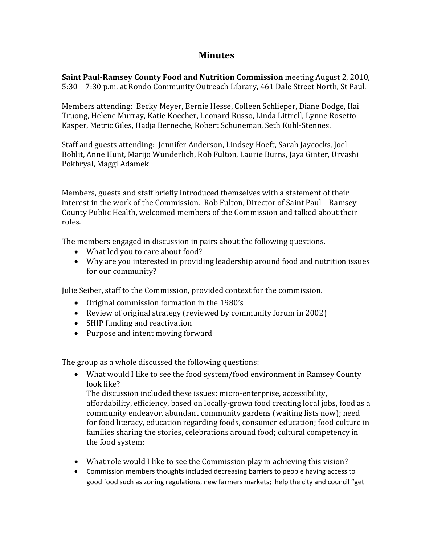## **Minutes**

**Saint PaulRamsey County Food and Nutrition Commission** meeting August 2, 2010, 5:30 – 7:30 p.m. at Rondo Community Outreach Library, 461 Dale Street North, St Paul.

Members attending: Becky Meyer, Bernie Hesse, Colleen Schlieper, Diane Dodge, Hai Truong, Helene Murray, Katie Koecher, Leonard Russo, Linda Littrell, Lynne Rosetto Kasper, Metric Giles, Hadja Berneche, Robert Schuneman, Seth Kuhl‐Stennes.

Staff and guests attending: Jennifer Anderson, Lindsey Hoeft, Sarah Jaycocks, Joel Boblit, Anne Hunt, Marijo Wunderlich, Rob Fulton, Laurie Burns, Jaya Ginter, Urvashi Pokhryal, Maggi Adamek

Members, guests and staff briefly introduced themselves with a statement of their interest in the work of the Commission. Rob Fulton, Director of Saint Paul – Ramsey County Public Health, welcomed members of the Commission and talked about their roles.

The members engaged in discussion in pairs about the following questions.

- What led you to care about food?
- Why are you interested in providing leadership around food and nutrition issues for our community?

Julie Seiber, staff to the Commission, provided context for the commission.

- Original commission formation in the 1980's
- Review of original strategy (reviewed by community forum in 2002)
- SHIP funding and reactivation
- Purpose and intent moving forward

The group as a whole discussed the following questions:

 What would I like to see the food system/food environment in Ramsey County look like?

The discussion included these issues: micro-enterprise, accessibility, affordability, efficiency, based on locally‐grown food creating local jobs, food as a community endeavor, abundant community gardens (waiting lists now); need for food literacy, education regarding foods, consumer education; food culture in families sharing the stories, celebrations around food; cultural competency in the food system;

- What role would I like to see the Commission play in achieving this vision?
- Commission members thoughts included decreasing barriers to people having access to good food such as zoning regulations, new farmers markets; help the city and council "get